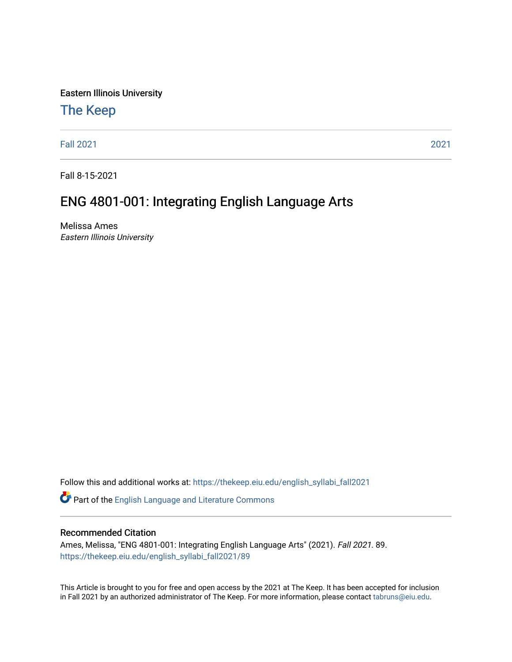Eastern Illinois University

# [The Keep](https://thekeep.eiu.edu/)

[Fall 2021](https://thekeep.eiu.edu/english_syllabi_fall2021) [2021](https://thekeep.eiu.edu/english_syllabi2021) 

Fall 8-15-2021

# ENG 4801-001: Integrating English Language Arts

Melissa Ames Eastern Illinois University

Follow this and additional works at: [https://thekeep.eiu.edu/english\\_syllabi\\_fall2021](https://thekeep.eiu.edu/english_syllabi_fall2021?utm_source=thekeep.eiu.edu%2Fenglish_syllabi_fall2021%2F89&utm_medium=PDF&utm_campaign=PDFCoverPages) 

Part of the [English Language and Literature Commons](http://network.bepress.com/hgg/discipline/455?utm_source=thekeep.eiu.edu%2Fenglish_syllabi_fall2021%2F89&utm_medium=PDF&utm_campaign=PDFCoverPages)

#### Recommended Citation

Ames, Melissa, "ENG 4801-001: Integrating English Language Arts" (2021). Fall 2021. 89. [https://thekeep.eiu.edu/english\\_syllabi\\_fall2021/89](https://thekeep.eiu.edu/english_syllabi_fall2021/89?utm_source=thekeep.eiu.edu%2Fenglish_syllabi_fall2021%2F89&utm_medium=PDF&utm_campaign=PDFCoverPages)

This Article is brought to you for free and open access by the 2021 at The Keep. It has been accepted for inclusion in Fall 2021 by an authorized administrator of The Keep. For more information, please contact [tabruns@eiu.edu](mailto:tabruns@eiu.edu).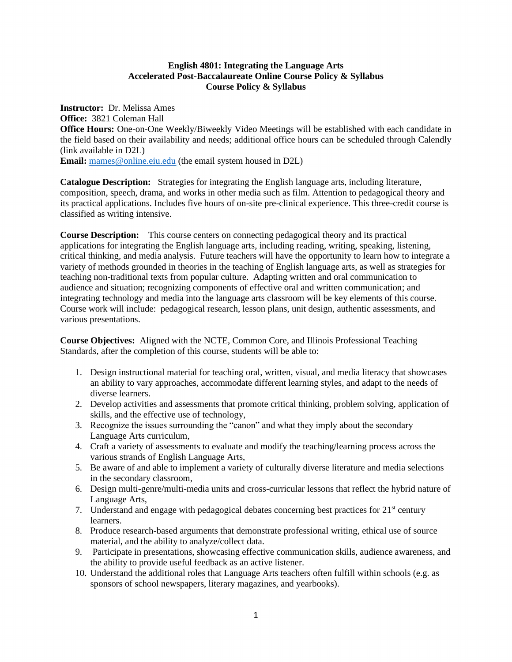#### **English 4801: Integrating the Language Arts Accelerated Post-Baccalaureate Online Course Policy & Syllabus Course Policy & Syllabus**

**Instructor:** Dr. Melissa Ames **Office:** 3821 Coleman Hall **Office Hours:** One-on-One Weekly/Biweekly Video Meetings will be established with each candidate in the field based on their availability and needs; additional office hours can be scheduled through Calendly (link available in D2L) **Email:** [mames@online.eiu.edu](mailto:mames@online.eiu.edu) (the email system housed in D2L)

**Catalogue Description:** Strategies for integrating the English language arts, including literature, composition, speech, drama, and works in other media such as film. Attention to pedagogical theory and its practical applications. Includes five hours of on-site pre-clinical experience. This three-credit course is classified as writing intensive.

**Course Description:** This course centers on connecting pedagogical theory and its practical applications for integrating the English language arts, including reading, writing, speaking, listening, critical thinking, and media analysis. Future teachers will have the opportunity to learn how to integrate a variety of methods grounded in theories in the teaching of English language arts, as well as strategies for teaching non-traditional texts from popular culture. Adapting written and oral communication to audience and situation; recognizing components of effective oral and written communication; and integrating technology and media into the language arts classroom will be key elements of this course. Course work will include: pedagogical research, lesson plans, unit design, authentic assessments, and various presentations.

**Course Objectives:** Aligned with the NCTE, Common Core, and Illinois Professional Teaching Standards, after the completion of this course, students will be able to:

- 1. Design instructional material for teaching oral, written, visual, and media literacy that showcases an ability to vary approaches, accommodate different learning styles, and adapt to the needs of diverse learners.
- 2. Develop activities and assessments that promote critical thinking, problem solving, application of skills, and the effective use of technology,
- 3. Recognize the issues surrounding the "canon" and what they imply about the secondary Language Arts curriculum,
- 4. Craft a variety of assessments to evaluate and modify the teaching/learning process across the various strands of English Language Arts,
- 5. Be aware of and able to implement a variety of culturally diverse literature and media selections in the secondary classroom,
- 6. Design multi-genre/multi-media units and cross-curricular lessons that reflect the hybrid nature of Language Arts,
- 7. Understand and engage with pedagogical debates concerning best practices for  $21<sup>st</sup>$  century learners.
- 8. Produce research-based arguments that demonstrate professional writing, ethical use of source material, and the ability to analyze/collect data.
- 9. Participate in presentations, showcasing effective communication skills, audience awareness, and the ability to provide useful feedback as an active listener.
- 10. Understand the additional roles that Language Arts teachers often fulfill within schools (e.g. as sponsors of school newspapers, literary magazines, and yearbooks).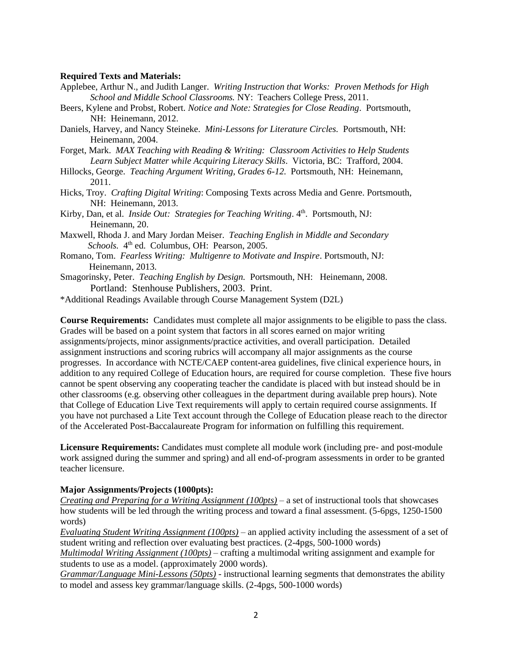#### **Required Texts and Materials:**

- Applebee, Arthur N., and Judith Langer. *Writing Instruction that Works: Proven Methods for High School and Middle School Classrooms.* NY: Teachers College Press, 2011.
- Beers, Kylene and Probst, Robert. *Notice and Note: Strategies for Close Reading*. Portsmouth, NH: Heinemann, 2012.
- Daniels, Harvey, and Nancy Steineke. *Mini-Lessons for Literature Circles.* Portsmouth, NH: Heinemann, 2004.
- Forget, Mark. *MAX Teaching with Reading & Writing: Classroom Activities to Help Students Learn Subject Matter while Acquiring Literacy Skills*. Victoria, BC: Trafford, 2004.
- Hillocks, George. *Teaching Argument Writing, Grades 6-12.* Portsmouth, NH: Heinemann, 2011.
- Hicks, Troy. *Crafting Digital Writing*: Composing Texts across Media and Genre. Portsmouth, NH: Heinemann, 2013.
- Kirby, Dan, et al. *Inside Out: Strategies for Teaching Writing*. 4<sup>th</sup>. Portsmouth, NJ: Heinemann, 20.
- Maxwell, Rhoda J. and Mary Jordan Meiser. *Teaching English in Middle and Secondary*  Schools. 4<sup>th</sup> ed. Columbus, OH: Pearson, 2005.
- Romano, Tom. *Fearless Writing: Multigenre to Motivate and Inspire*. Portsmouth, NJ: Heinemann, 2013.
- Smagorinsky, Peter. *Teaching English by Design.* Portsmouth, NH: Heinemann, 2008. Portland: Stenhouse Publishers, 2003. Print.

\*Additional Readings Available through Course Management System (D2L)

**Course Requirements:** Candidates must complete all major assignments to be eligible to pass the class. Grades will be based on a point system that factors in all scores earned on major writing assignments/projects, minor assignments/practice activities, and overall participation. Detailed assignment instructions and scoring rubrics will accompany all major assignments as the course progresses. In accordance with NCTE/CAEP content-area guidelines, five clinical experience hours, in addition to any required College of Education hours, are required for course completion. These five hours cannot be spent observing any cooperating teacher the candidate is placed with but instead should be in other classrooms (e.g. observing other colleagues in the department during available prep hours). Note that College of Education Live Text requirements will apply to certain required course assignments. If you have not purchased a Lite Text account through the College of Education please reach to the director of the Accelerated Post-Baccalaureate Program for information on fulfilling this requirement.

**Licensure Requirements:** Candidates must complete all module work (including pre- and post-module work assigned during the summer and spring) and all end-of-program assessments in order to be granted teacher licensure.

#### **Major Assignments/Projects (1000pts):**

*Creating and Preparing for a Writing Assignment (100pts)* – a set of instructional tools that showcases how students will be led through the writing process and toward a final assessment. (5-6pgs, 1250-1500 words)

*Evaluating Student Writing Assignment (100pts)* – an applied activity including the assessment of a set of student writing and reflection over evaluating best practices. (2-4pgs, 500-1000 words)

*Multimodal Writing Assignment (100pts)* – crafting a multimodal writing assignment and example for students to use as a model. (approximately 2000 words).

*Grammar/Language Mini-Lessons (50pts)* - instructional learning segments that demonstrates the ability to model and assess key grammar/language skills. (2-4pgs, 500-1000 words)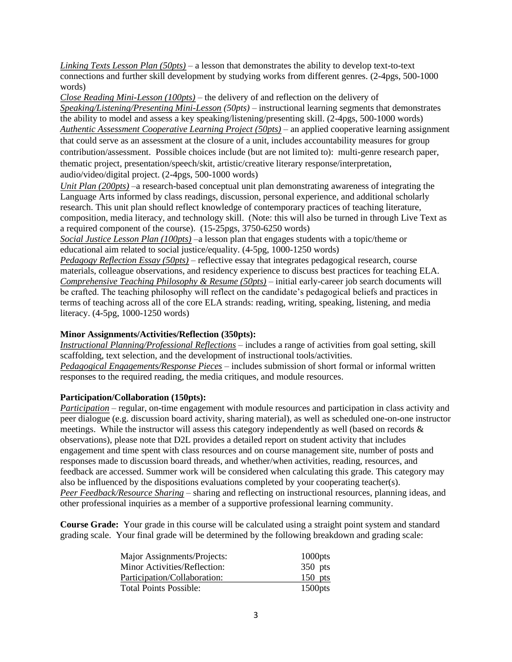*Linking Texts Lesson Plan (50pts)* – a lesson that demonstrates the ability to develop text-to-text connections and further skill development by studying works from different genres. (2-4pgs, 500-1000 words)

*Close Reading Mini-Lesson (100pts)* – the delivery of and reflection on the delivery of *Speaking/Listening/Presenting Mini-Lesson (50pts)* – instructional learning segments that demonstrates the ability to model and assess a key speaking/listening/presenting skill. (2-4pgs, 500-1000 words) *Authentic Assessment Cooperative Learning Project (50pts)* – an applied cooperative learning assignment that could serve as an assessment at the closure of a unit, includes accountability measures for group contribution/assessment. Possible choices include (but are not limited to): multi-genre research paper, thematic project, presentation/speech/skit, artistic/creative literary response/interpretation, audio/video/digital project. (2-4pgs, 500-1000 words)

*Unit Plan (200pts)* –a research-based conceptual unit plan demonstrating awareness of integrating the Language Arts informed by class readings, discussion, personal experience, and additional scholarly research. This unit plan should reflect knowledge of contemporary practices of teaching literature, composition, media literacy, and technology skill. (Note: this will also be turned in through Live Text as a required component of the course). (15-25pgs, 3750-6250 words)

*Social Justice Lesson Plan (100pts)* –a lesson plan that engages students with a topic/theme or educational aim related to social justice/equality. (4-5pg, 1000-1250 words)

*Pedagogy Reflection Essay (50pts)* – reflective essay that integrates pedagogical research, course materials, colleague observations, and residency experience to discuss best practices for teaching ELA. *Comprehensive Teaching Philosophy & Resume (50pts)* – initial early-career job search documents will be crafted. The teaching philosophy will reflect on the candidate's pedagogical beliefs and practices in terms of teaching across all of the core ELA strands: reading, writing, speaking, listening, and media literacy. (4-5pg, 1000-1250 words)

# **Minor Assignments/Activities/Reflection (350pts):**

*Instructional Planning/Professional Reflections* – includes a range of activities from goal setting, skill scaffolding, text selection, and the development of instructional tools/activities.

*Pedagogical Engagements/Response Pieces –* includes submission of short formal or informal written responses to the required reading, the media critiques, and module resources.

# **Participation/Collaboration (150pts):**

*Participation* – regular, on-time engagement with module resources and participation in class activity and peer dialogue (e.g. discussion board activity, sharing material), as well as scheduled one-on-one instructor meetings. While the instructor will assess this category independently as well (based on records & observations), please note that D2L provides a detailed report on student activity that includes engagement and time spent with class resources and on course management site, number of posts and responses made to discussion board threads, and whether/when activities, reading, resources, and feedback are accessed. Summer work will be considered when calculating this grade. This category may also be influenced by the dispositions evaluations completed by your cooperating teacher(s). *Peer Feedback/Resource Sharing* – sharing and reflecting on instructional resources, planning ideas, and other professional inquiries as a member of a supportive professional learning community.

**Course Grade:** Your grade in this course will be calculated using a straight point system and standard grading scale. Your final grade will be determined by the following breakdown and grading scale:

| Major Assignments/Projects:   | 1000pts    |
|-------------------------------|------------|
| Minor Activities/Reflection:  | $350$ pts  |
| Participation/Collaboration:  | 150 pts    |
| <b>Total Points Possible:</b> | $1500$ pts |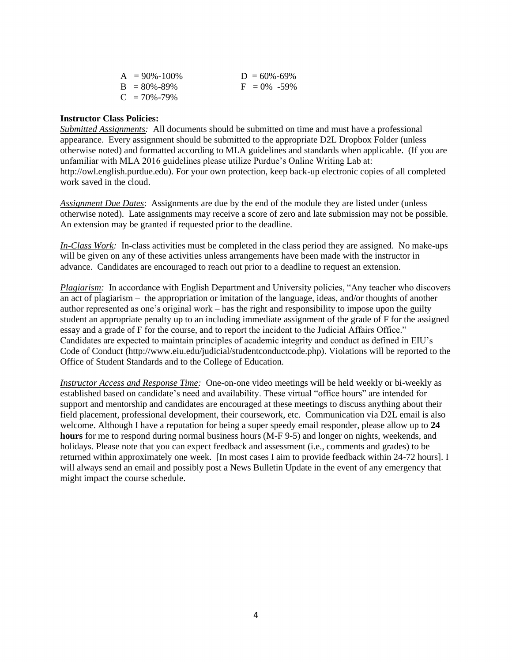| $A = 90\% - 100\%$ | $D = 60\% - 69\%$ |
|--------------------|-------------------|
| $B = 80\% - 89\%$  | $F = 0\% -59\%$   |
| $C = 70\% - 79\%$  |                   |

#### **Instructor Class Policies:**

*Submitted Assignments:* All documents should be submitted on time and must have a professional appearance. Every assignment should be submitted to the appropriate D2L Dropbox Folder (unless otherwise noted) and formatted according to MLA guidelines and standards when applicable. (If you are unfamiliar with MLA 2016 guidelines please utilize Purdue's Online Writing Lab at: http://owl.english.purdue.edu). For your own protection, keep back-up electronic copies of all completed work saved in the cloud.

*Assignment Due Dates*: Assignments are due by the end of the module they are listed under (unless otherwise noted). Late assignments may receive a score of zero and late submission may not be possible. An extension may be granted if requested prior to the deadline.

*In-Class Work:* In-class activities must be completed in the class period they are assigned. No make-ups will be given on any of these activities unless arrangements have been made with the instructor in advance. Candidates are encouraged to reach out prior to a deadline to request an extension.

*Plagiarism:* In accordance with English Department and University policies, "Any teacher who discovers an act of plagiarism – the appropriation or imitation of the language, ideas, and/or thoughts of another author represented as one's original work – has the right and responsibility to impose upon the guilty student an appropriate penalty up to an including immediate assignment of the grade of F for the assigned essay and a grade of F for the course, and to report the incident to the Judicial Affairs Office." Candidates are expected to maintain principles of academic integrity and conduct as defined in EIU's Code of Conduct (http://www.eiu.edu/judicial/studentconductcode.php). Violations will be reported to the Office of Student Standards and to the College of Education.

*Instructor Access and Response Time:* One-on-one video meetings will be held weekly or bi-weekly as established based on candidate's need and availability. These virtual "office hours" are intended for support and mentorship and candidates are encouraged at these meetings to discuss anything about their field placement, professional development, their coursework, etc. Communication via D2L email is also welcome. Although I have a reputation for being a super speedy email responder, please allow up to **24 hours** for me to respond during normal business hours (M-F 9-5) and longer on nights, weekends, and holidays. Please note that you can expect feedback and assessment (i.e., comments and grades) to be returned within approximately one week. [In most cases I aim to provide feedback within 24-72 hours]. I will always send an email and possibly post a News Bulletin Update in the event of any emergency that might impact the course schedule.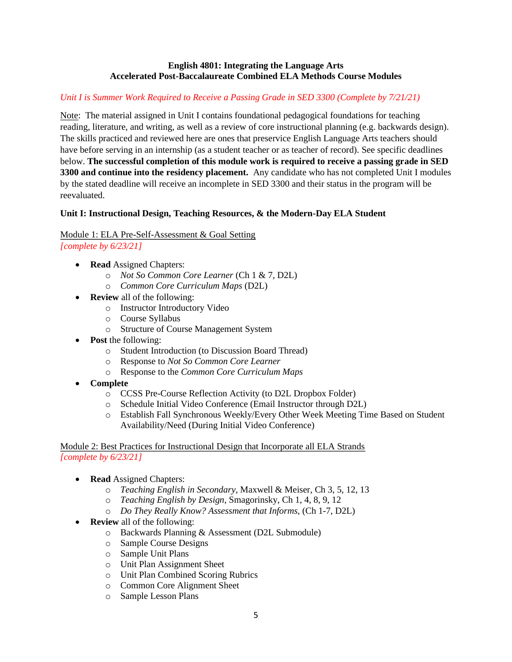### **English 4801: Integrating the Language Arts Accelerated Post-Baccalaureate Combined ELA Methods Course Modules**

# *Unit I is Summer Work Required to Receive a Passing Grade in SED 3300 (Complete by 7/21/21)*

Note: The material assigned in Unit I contains foundational pedagogical foundations for teaching reading, literature, and writing, as well as a review of core instructional planning (e.g. backwards design). The skills practiced and reviewed here are ones that preservice English Language Arts teachers should have before serving in an internship (as a student teacher or as teacher of record). See specific deadlines below. **The successful completion of this module work is required to receive a passing grade in SED 3300 and continue into the residency placement.** Any candidate who has not completed Unit I modules by the stated deadline will receive an incomplete in SED 3300 and their status in the program will be reevaluated.

# **Unit I: Instructional Design, Teaching Resources, & the Modern-Day ELA Student**

# Module 1: ELA Pre-Self-Assessment & Goal Setting

*[complete by 6/23/21]*

- **Read** Assigned Chapters:
	- o *Not So Common Core Learner* (Ch 1 & 7, D2L)
	- o *Common Core Curriculum Maps* (D2L)
- **Review** all of the following:
	- o Instructor Introductory Video
	- o Course Syllabus
	- o Structure of Course Management System
- **Post** the following:
	- o Student Introduction (to Discussion Board Thread)
	- o Response to *Not So Common Core Learner*
	- o Response to the *Common Core Curriculum Maps*
- **Complete**
	- o CCSS Pre-Course Reflection Activity (to D2L Dropbox Folder)
	- o Schedule Initial Video Conference (Email Instructor through D2L)
	- o Establish Fall Synchronous Weekly/Every Other Week Meeting Time Based on Student Availability/Need (During Initial Video Conference)

Module 2: Best Practices for Instructional Design that Incorporate all ELA Strands *[complete by 6/23/21]*

- **Read** Assigned Chapters:
	- o *Teaching English in Secondary,* Maxwell & Meiser, Ch 3, 5, 12, 13
	- o *Teaching English by Design*, Smagorinsky, Ch 1, 4, 8, 9, 12
	- o *Do They Really Know? Assessment that Informs,* (Ch 1-7, D2L)
- **Review** all of the following:
	- o Backwards Planning & Assessment (D2L Submodule)
	- o Sample Course Designs
	- o Sample Unit Plans
	- o Unit Plan Assignment Sheet
	- o Unit Plan Combined Scoring Rubrics
	- o Common Core Alignment Sheet
	- o Sample Lesson Plans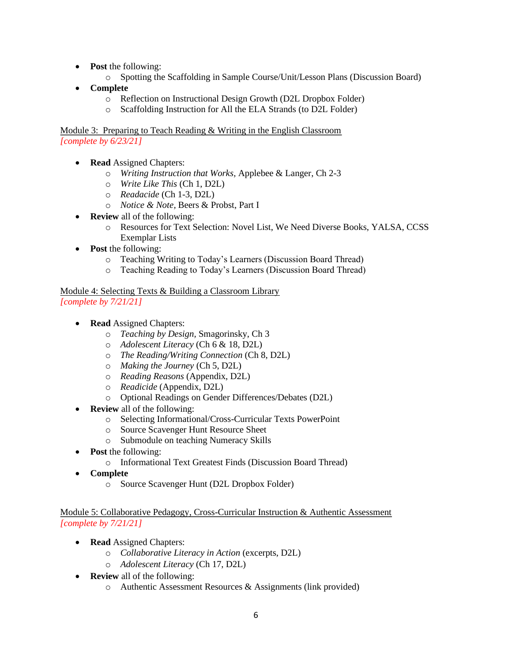- **Post** the following:
	- o Spotting the Scaffolding in Sample Course/Unit/Lesson Plans (Discussion Board)
- **Complete**
	- o Reflection on Instructional Design Growth (D2L Dropbox Folder)
	- o Scaffolding Instruction for All the ELA Strands (to D2L Folder)

Module 3: Preparing to Teach Reading & Writing in the English Classroom *[complete by 6/23/21]*

- **Read** Assigned Chapters:
	- o *Writing Instruction that Works,* Applebee & Langer, Ch 2-3
	- o *Write Like This* (Ch 1, D2L)
	- o *Readacide* (Ch 1-3, D2L)
	- o *Notice & Note,* Beers & Probst, Part I
- **Review** all of the following:
	- o Resources for Text Selection: Novel List, We Need Diverse Books, YALSA, CCSS Exemplar Lists
- **Post** the following:
	- o Teaching Writing to Today's Learners (Discussion Board Thread)
	- o Teaching Reading to Today's Learners (Discussion Board Thread)

Module 4: Selecting Texts & Building a Classroom Library *[complete by 7/21/21]*

- **Read** Assigned Chapters:
	- o *Teaching by Design,* Smagorinsky, Ch 3
	- o *Adolescent Literacy* (Ch 6 & 18, D2L)
	- o *The Reading/Writing Connection* (Ch 8, D2L)
	- o *Making the Journey* (Ch 5, D2L)
	- o *Reading Reasons* (Appendix, D2L)
	- o *Readicide* (Appendix, D2L)
	- o Optional Readings on Gender Differences/Debates (D2L)
	- **Review** all of the following:
		- o Selecting Informational/Cross-Curricular Texts PowerPoint
		- o Source Scavenger Hunt Resource Sheet
		- o Submodule on teaching Numeracy Skills
- **Post** the following:
	- o Informational Text Greatest Finds (Discussion Board Thread)
- **Complete**
	- o Source Scavenger Hunt (D2L Dropbox Folder)

Module 5: Collaborative Pedagogy, Cross-Curricular Instruction & Authentic Assessment *[complete by 7/21/21]*

- **Read** Assigned Chapters:
	- o *Collaborative Literacy in Action* (excerpts, D2L)
	- o *Adolescent Literacy* (Ch 17, D2L)
- **Review** all of the following:
	- o Authentic Assessment Resources & Assignments (link provided)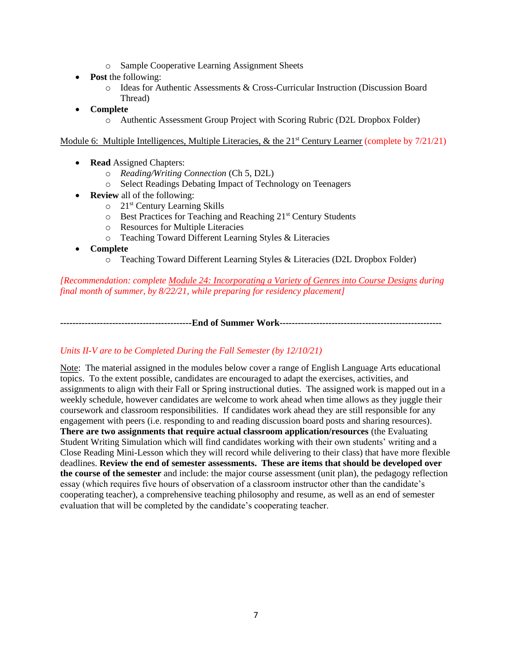- o Sample Cooperative Learning Assignment Sheets
- **Post** the following:
	- o Ideas for Authentic Assessments & Cross-Curricular Instruction (Discussion Board Thread)
- **Complete**
	- o Authentic Assessment Group Project with Scoring Rubric (D2L Dropbox Folder)

Module 6: Multiple Intelligences, Multiple Literacies, & the  $21<sup>st</sup>$  Century Learner (complete by  $7/21/21$ )

- **Read** Assigned Chapters:
	- o *Reading/Writing Connection* (Ch 5, D2L)
	- o Select Readings Debating Impact of Technology on Teenagers
- **Review** all of the following:
	- o 21st Century Learning Skills
	- o Best Practices for Teaching and Reaching 21st Century Students
	- o Resources for Multiple Literacies
	- o Teaching Toward Different Learning Styles & Literacies
- **Complete**
	- o Teaching Toward Different Learning Styles & Literacies (D2L Dropbox Folder)

*[Recommendation: complete Module 24: Incorporating a Variety of Genres into Course Designs during final month of summer, by 8/22/21, while preparing for residency placement]*

**-------------------------------------------End of Summer Work-----------------------------------------------------**

#### *Units II-V are to be Completed During the Fall Semester (by 12/10/21)*

Note: The material assigned in the modules below cover a range of English Language Arts educational topics. To the extent possible, candidates are encouraged to adapt the exercises, activities, and assignments to align with their Fall or Spring instructional duties. The assigned work is mapped out in a weekly schedule, however candidates are welcome to work ahead when time allows as they juggle their coursework and classroom responsibilities. If candidates work ahead they are still responsible for any engagement with peers (i.e. responding to and reading discussion board posts and sharing resources). **There are two assignments that require actual classroom application/resources** (the Evaluating Student Writing Simulation which will find candidates working with their own students' writing and a Close Reading Mini-Lesson which they will record while delivering to their class) that have more flexible deadlines. **Review the end of semester assessments. These are items that should be developed over the course of the semester** and include: the major course assessment (unit plan), the pedagogy reflection essay (which requires five hours of observation of a classroom instructor other than the candidate's cooperating teacher), a comprehensive teaching philosophy and resume, as well as an end of semester evaluation that will be completed by the candidate's cooperating teacher.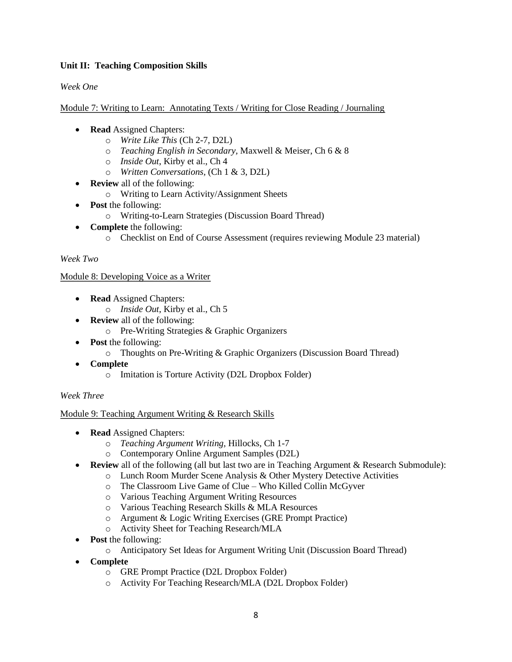# **Unit II: Teaching Composition Skills**

# *Week One*

Module 7: Writing to Learn: Annotating Texts / Writing for Close Reading / Journaling

- **Read** Assigned Chapters:
	- o *Write Like This* (Ch 2-7, D2L)
	- o *Teaching English in Secondary,* Maxwell & Meiser, Ch 6 & 8
	- o *Inside Out*, Kirby et al., Ch 4
	- o *Written Conversations,* (Ch 1 & 3, D2L)
- **Review** all of the following:
	- o Writing to Learn Activity/Assignment Sheets
- **Post** the following:
	- o Writing-to-Learn Strategies (Discussion Board Thread)
- **Complete** the following:
	- o Checklist on End of Course Assessment (requires reviewing Module 23 material)

#### *Week Two*

#### Module 8: Developing Voice as a Writer

- **Read** Assigned Chapters:
	- o *Inside Out*, Kirby et al., Ch 5
- **Review** all of the following:
	- o Pre-Writing Strategies & Graphic Organizers
- **Post** the following:
	- o Thoughts on Pre-Writing & Graphic Organizers (Discussion Board Thread)
- **Complete**
	- o Imitation is Torture Activity (D2L Dropbox Folder)

#### *Week Three*

#### Module 9: Teaching Argument Writing & Research Skills

- **Read** Assigned Chapters:
	- o *Teaching Argument Writing,* Hillocks, Ch 1-7
	- o Contemporary Online Argument Samples (D2L)
	- **Review** all of the following (all but last two are in Teaching Argument & Research Submodule):
		- o Lunch Room Murder Scene Analysis & Other Mystery Detective Activities
		- o The Classroom Live Game of Clue Who Killed Collin McGyver
		- o Various Teaching Argument Writing Resources
		- o Various Teaching Research Skills & MLA Resources
		- o Argument & Logic Writing Exercises (GRE Prompt Practice)
		- o Activity Sheet for Teaching Research/MLA
- **Post** the following:
	- o Anticipatory Set Ideas for Argument Writing Unit (Discussion Board Thread)
- **Complete**
	- o GRE Prompt Practice (D2L Dropbox Folder)
	- o Activity For Teaching Research/MLA (D2L Dropbox Folder)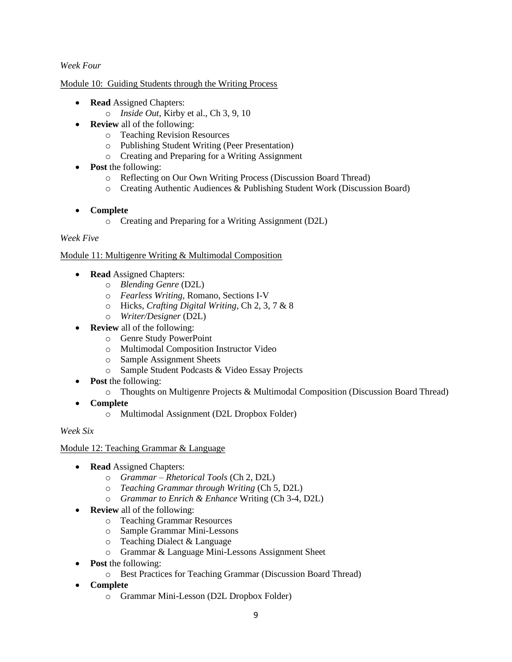# *Week Four*

#### Module 10: Guiding Students through the Writing Process

- **Read** Assigned Chapters:
	- o *Inside Out*, Kirby et al., Ch 3, 9, 10
- **Review** all of the following:
	- o Teaching Revision Resources
	- o Publishing Student Writing (Peer Presentation)
	- o Creating and Preparing for a Writing Assignment
- **Post** the following:
	- o Reflecting on Our Own Writing Process (Discussion Board Thread)
	- o Creating Authentic Audiences & Publishing Student Work (Discussion Board)

#### • **Complete**

o Creating and Preparing for a Writing Assignment (D2L)

#### *Week Five*

#### Module 11: Multigenre Writing & Multimodal Composition

- **Read** Assigned Chapters:
	- o *Blending Genre* (D2L)
	- o *Fearless Writing,* Romano, Sections I-V
	- o Hicks, *Crafting Digital Writing*, Ch 2, 3, 7 & 8
	- o *Writer/Designer* (D2L)
- **Review** all of the following:
	- o Genre Study PowerPoint
	- o Multimodal Composition Instructor Video
	- o Sample Assignment Sheets
	- o Sample Student Podcasts & Video Essay Projects
- **Post** the following:
	- o Thoughts on Multigenre Projects & Multimodal Composition (Discussion Board Thread)
- **Complete**
	- o Multimodal Assignment (D2L Dropbox Folder)

#### *Week Six*

#### Module 12: Teaching Grammar & Language

- **Read** Assigned Chapters:
	- o *Grammar – Rhetorical Tools* (Ch 2, D2L)
	- o *Teaching Grammar through Writing* (Ch 5, D2L)
	- o *Grammar to Enrich & Enhance* Writing (Ch 3-4, D2L)
- **Review** all of the following:
	- o Teaching Grammar Resources
	- o Sample Grammar Mini-Lessons
	- o Teaching Dialect & Language
	- o Grammar & Language Mini-Lessons Assignment Sheet
- **Post** the following:
	- o Best Practices for Teaching Grammar (Discussion Board Thread)
- **Complete**
	- o Grammar Mini-Lesson (D2L Dropbox Folder)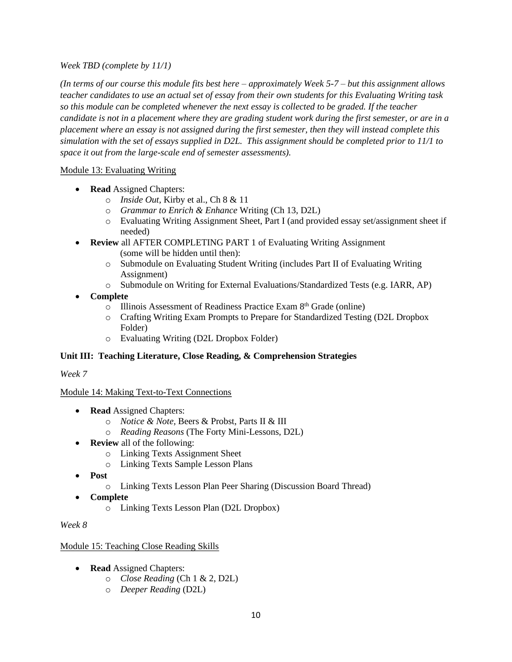# *Week TBD (complete by 11/1)*

*(In terms of our course this module fits best here – approximately Week 5-7 – but this assignment allows teacher candidates to use an actual set of essay from their own students for this Evaluating Writing task so this module can be completed whenever the next essay is collected to be graded. If the teacher candidate is not in a placement where they are grading student work during the first semester, or are in a placement where an essay is not assigned during the first semester, then they will instead complete this simulation with the set of essays supplied in D2L. This assignment should be completed prior to 11/1 to space it out from the large-scale end of semester assessments).*

# Module 13: Evaluating Writing

- **Read** Assigned Chapters:
	- o *Inside Out*, Kirby et al., Ch 8 & 11
	- o *Grammar to Enrich & Enhance* Writing (Ch 13, D2L)
	- o Evaluating Writing Assignment Sheet, Part I (and provided essay set/assignment sheet if needed)
- **Review** all AFTER COMPLETING PART 1 of Evaluating Writing Assignment (some will be hidden until then):
	- o Submodule on Evaluating Student Writing (includes Part II of Evaluating Writing Assignment)
	- o Submodule on Writing for External Evaluations/Standardized Tests (e.g. IARR, AP)
- **Complete**
	- o Illinois Assessment of Readiness Practice Exam 8th Grade (online)
	- o Crafting Writing Exam Prompts to Prepare for Standardized Testing (D2L Dropbox Folder)
	- o Evaluating Writing (D2L Dropbox Folder)

# **Unit III: Teaching Literature, Close Reading, & Comprehension Strategies**

#### *Week 7*

#### Module 14: Making Text-to-Text Connections

- **Read** Assigned Chapters:
	- o *Notice & Note,* Beers & Probst, Parts II & III
	- o *Reading Reasons* (The Forty Mini-Lessons, D2L)
- **Review** all of the following:
	- o Linking Texts Assignment Sheet
	- o Linking Texts Sample Lesson Plans
- **Post**
	- o Linking Texts Lesson Plan Peer Sharing (Discussion Board Thread)
- **Complete**
	- o Linking Texts Lesson Plan (D2L Dropbox)

*Week 8*

#### Module 15: Teaching Close Reading Skills

- **Read** Assigned Chapters:
	- o *Close Reading* (Ch 1 & 2, D2L)
	- o *Deeper Reading* (D2L)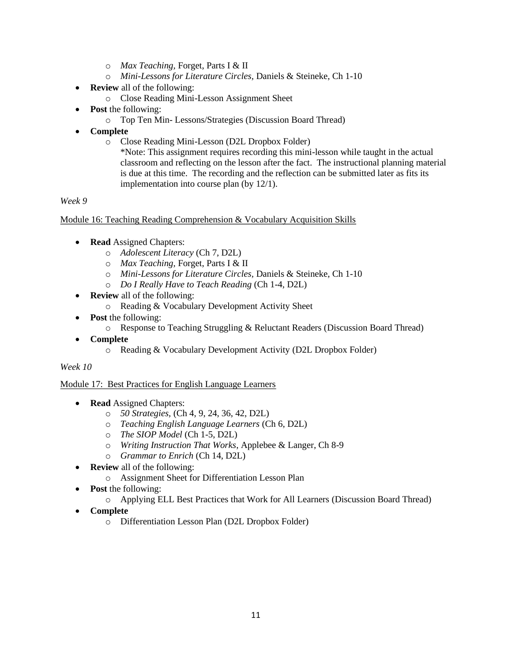- o *Max Teaching,* Forget, Parts I & II
- o *Mini-Lessons for Literature Circles,* Daniels & Steineke, Ch 1-10
- **Review** all of the following:
	- o Close Reading Mini-Lesson Assignment Sheet
- **Post** the following:
	- o Top Ten Min- Lessons/Strategies (Discussion Board Thread)
- **Complete**
	- o Close Reading Mini-Lesson (D2L Dropbox Folder)

\*Note: This assignment requires recording this mini-lesson while taught in the actual classroom and reflecting on the lesson after the fact. The instructional planning material is due at this time. The recording and the reflection can be submitted later as fits its implementation into course plan (by 12/1).

*Week 9*

Module 16: Teaching Reading Comprehension & Vocabulary Acquisition Skills

- **Read** Assigned Chapters:
	- o *Adolescent Literacy* (Ch 7, D2L)
	- o *Max Teaching,* Forget, Parts I & II
	- o *Mini-Lessons for Literature Circles,* Daniels & Steineke, Ch 1-10
	- o *Do I Really Have to Teach Reading* (Ch 1-4, D2L)
- **Review** all of the following:
	- o Reading & Vocabulary Development Activity Sheet
- **Post** the following:
	- o Response to Teaching Struggling & Reluctant Readers (Discussion Board Thread)
- **Complete**
	- o Reading & Vocabulary Development Activity (D2L Dropbox Folder)

*Week 10*

Module 17: Best Practices for English Language Learners

- **Read** Assigned Chapters:
	- o *50 Strategies,* (Ch 4, 9, 24, 36, 42, D2L)
	- o *Teaching English Language Learners* (Ch 6, D2L)
	- o *The SIOP Model* (Ch 1-5, D2L)
	- o *Writing Instruction That Works*, Applebee & Langer, Ch 8-9
	- o *Grammar to Enrich* (Ch 14, D2L)
- **Review** all of the following:
	- o Assignment Sheet for Differentiation Lesson Plan
- **Post** the following:
	- o Applying ELL Best Practices that Work for All Learners (Discussion Board Thread)
- **Complete**
	- o Differentiation Lesson Plan (D2L Dropbox Folder)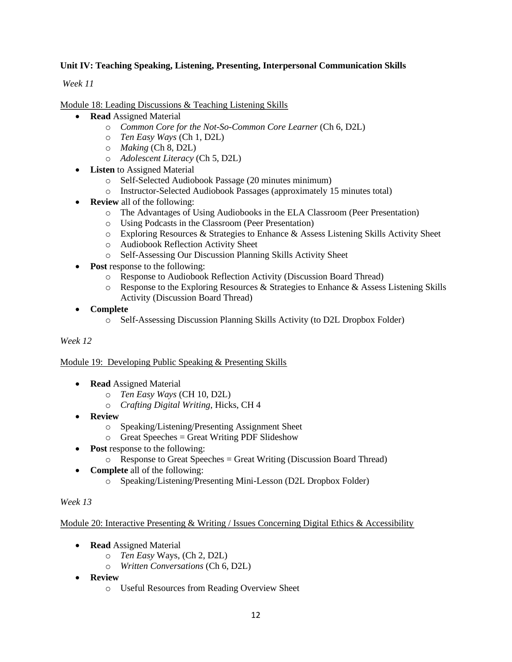# **Unit IV: Teaching Speaking, Listening, Presenting, Interpersonal Communication Skills**

*Week 11*

Module 18: Leading Discussions & Teaching Listening Skills

- **Read** Assigned Material
	- o *Common Core for the Not-So-Common Core Learner* (Ch 6, D2L)
	- o *Ten Easy Ways* (Ch 1, D2L)
	- o *Making* (Ch 8, D2L)
	- o *Adolescent Literacy* (Ch 5, D2L)
- **Listen** to Assigned Material
	- o Self-Selected Audiobook Passage (20 minutes minimum)
	- o Instructor-Selected Audiobook Passages (approximately 15 minutes total)
- **Review** all of the following:
	- o The Advantages of Using Audiobooks in the ELA Classroom (Peer Presentation)
	- o Using Podcasts in the Classroom (Peer Presentation)
	- o Exploring Resources & Strategies to Enhance & Assess Listening Skills Activity Sheet
	- o Audiobook Reflection Activity Sheet
	- o Self-Assessing Our Discussion Planning Skills Activity Sheet
- Post response to the following:
	- o Response to Audiobook Reflection Activity (Discussion Board Thread)
	- $\circ$  Response to the Exploring Resources & Strategies to Enhance & Assess Listening Skills Activity (Discussion Board Thread)
- **Complete**
	- o Self-Assessing Discussion Planning Skills Activity (to D2L Dropbox Folder)

#### *Week 12*

#### Module 19: Developing Public Speaking & Presenting Skills

- **Read** Assigned Material
	- o *Ten Easy Ways* (CH 10, D2L)
	- o *Crafting Digital Writing*, Hicks, CH 4
- **Review** 
	- o Speaking/Listening/Presenting Assignment Sheet
	- $\circ$  Great Speeches = Great Writing PDF Slideshow
- **Post** response to the following:
	- $\circ$  Response to Great Speeches = Great Writing (Discussion Board Thread)
- **Complete** all of the following:
	- o Speaking/Listening/Presenting Mini-Lesson (D2L Dropbox Folder)

#### *Week 13*

#### Module 20: Interactive Presenting & Writing / Issues Concerning Digital Ethics & Accessibility

- **Read** Assigned Material
	- o *Ten Easy* Ways, (Ch 2, D2L)
	- o *Written Conversations* (Ch 6, D2L)
- **Review** 
	- o Useful Resources from Reading Overview Sheet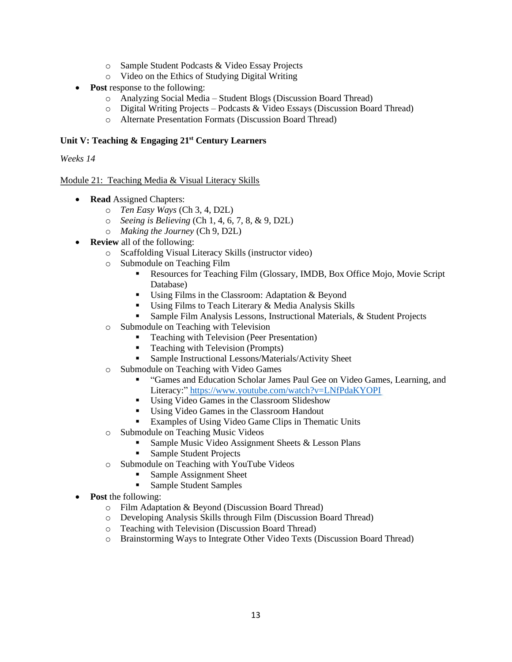- o Sample Student Podcasts & Video Essay Projects
- o Video on the Ethics of Studying Digital Writing
- **Post response to the following:** 
	- o Analyzing Social Media Student Blogs (Discussion Board Thread)
	- $\circ$  Digital Writing Projects Podcasts & Video Essays (Discussion Board Thread)
	- o Alternate Presentation Formats (Discussion Board Thread)

### **Unit V: Teaching & Engaging 21st Century Learners**

*Weeks 14*

# Module 21: Teaching Media & Visual Literacy Skills

- **Read** Assigned Chapters:
	- o *Ten Easy Ways* (Ch 3, 4, D2L)
	- o *Seeing is Believing* (Ch 1, 4, 6, 7, 8, & 9, D2L)
	- o *Making the Journey* (Ch 9, D2L)
- **Review** all of the following:
	- o Scaffolding Visual Literacy Skills (instructor video)
	- o Submodule on Teaching Film
		- Resources for Teaching Film (Glossary, IMDB, Box Office Mojo, Movie Script Database)
		- Using Films in the Classroom: Adaptation  $&$  Beyond
		- Using Films to Teach Literary & Media Analysis Skills
		- Sample Film Analysis Lessons, Instructional Materials, & Student Projects
	- o Submodule on Teaching with Television
		- Teaching with Television (Peer Presentation)
		- Teaching with Television (Prompts)
		- **Example Instructional Lessons/Materials/Activity Sheet**
	- o Submodule on Teaching with Video Games
		- "Games and Education Scholar James Paul Gee on Video Games, Learning, and Literacy:" <https://www.youtube.com/watch?v=LNfPdaKYOPI>
		- Using Video Games in the Classroom Slideshow
		- Using Video Games in the Classroom Handout
		- Examples of Using Video Game Clips in Thematic Units
	- o Submodule on Teaching Music Videos
		- Sample Music Video Assignment Sheets & Lesson Plans
		- **Sample Student Projects**
	- o Submodule on Teaching with YouTube Videos
		- Sample Assignment Sheet
		- Sample Student Samples
- **Post** the following:
	- o Film Adaptation & Beyond (Discussion Board Thread)
	- o Developing Analysis Skills through Film (Discussion Board Thread)
	- o Teaching with Television (Discussion Board Thread)
	- o Brainstorming Ways to Integrate Other Video Texts (Discussion Board Thread)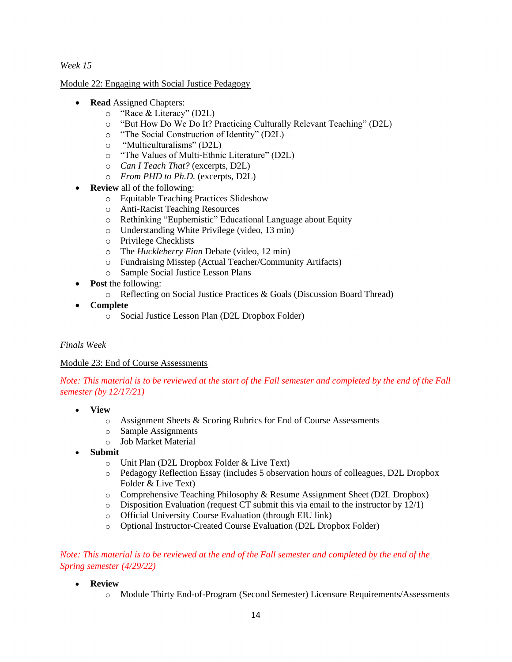*Week 15*

Module 22: Engaging with Social Justice Pedagogy

- **Read** Assigned Chapters:
	- o "Race & Literacy" (D2L)
	- o "But How Do We Do It? Practicing Culturally Relevant Teaching" (D2L)
	- o "The Social Construction of Identity" (D2L)
	- o "Multiculturalisms" (D2L)
	- o "The Values of Multi-Ethnic Literature" (D2L)
	- o *Can I Teach That?* (excerpts, D2L)
	- o *From PHD to Ph.D.* (excerpts, D2L)
- **Review** all of the following:
	- o Equitable Teaching Practices Slideshow
	- o Anti-Racist Teaching Resources
	- o Rethinking "Euphemistic" Educational Language about Equity
	- o Understanding White Privilege (video, 13 min)
	- o Privilege Checklists
	- o The *Huckleberry Finn* Debate (video, 12 min)
	- o Fundraising Misstep (Actual Teacher/Community Artifacts)
	- o Sample Social Justice Lesson Plans
- **Post** the following:
	- o Reflecting on Social Justice Practices & Goals (Discussion Board Thread)
- **Complete**
	- o Social Justice Lesson Plan (D2L Dropbox Folder)

# *Finals Week*

# Module 23: End of Course Assessments

*Note: This material is to be reviewed at the start of the Fall semester and completed by the end of the Fall semester (by 12/17/21)*

- **View**
	- o Assignment Sheets & Scoring Rubrics for End of Course Assessments
	- o Sample Assignments
	- o Job Market Material
- **Submit**
	- o Unit Plan (D2L Dropbox Folder & Live Text)
	- o Pedagogy Reflection Essay (includes 5 observation hours of colleagues, D2L Dropbox Folder & Live Text)
	- o Comprehensive Teaching Philosophy & Resume Assignment Sheet (D2L Dropbox)
	- $\circ$  Disposition Evaluation (request CT submit this via email to the instructor by 12/1)
	- o Official University Course Evaluation (through EIU link)
	- o Optional Instructor-Created Course Evaluation (D2L Dropbox Folder)

# *Note: This material is to be reviewed at the end of the Fall semester and completed by the end of the Spring semester (4/29/22)*

- **Review**
	- o Module Thirty End-of-Program (Second Semester) Licensure Requirements/Assessments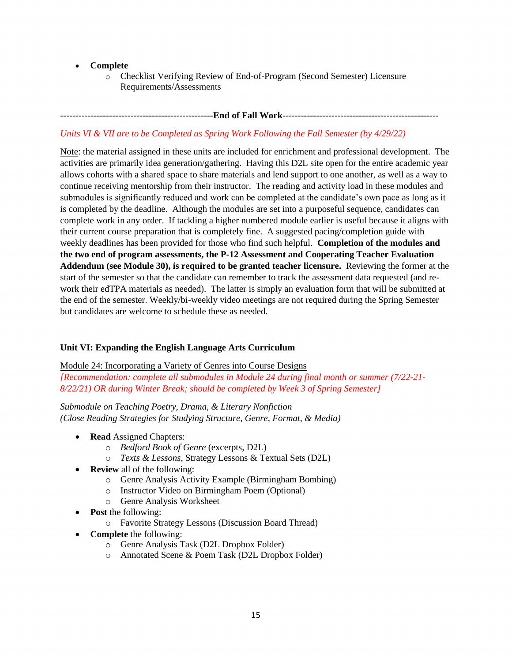- **Complete**
	- o Checklist Verifying Review of End-of-Program (Second Semester) Licensure Requirements/Assessments

# --------------------------------------------------**End of Fall Work**---------------------------------------------------

# *Units VI & VII are to be Completed as Spring Work Following the Fall Semester (by 4/29/22)*

Note: the material assigned in these units are included for enrichment and professional development. The activities are primarily idea generation/gathering. Having this D2L site open for the entire academic year allows cohorts with a shared space to share materials and lend support to one another, as well as a way to continue receiving mentorship from their instructor. The reading and activity load in these modules and submodules is significantly reduced and work can be completed at the candidate's own pace as long as it is completed by the deadline. Although the modules are set into a purposeful sequence, candidates can complete work in any order. If tackling a higher numbered module earlier is useful because it aligns with their current course preparation that is completely fine. A suggested pacing/completion guide with weekly deadlines has been provided for those who find such helpful. **Completion of the modules and the two end of program assessments, the P-12 Assessment and Cooperating Teacher Evaluation Addendum (see Module 30), is required to be granted teacher licensure.** Reviewing the former at the start of the semester so that the candidate can remember to track the assessment data requested (and rework their edTPA materials as needed). The latter is simply an evaluation form that will be submitted at the end of the semester. Weekly/bi-weekly video meetings are not required during the Spring Semester but candidates are welcome to schedule these as needed.

#### **Unit VI: Expanding the English Language Arts Curriculum**

#### Module 24: Incorporating a Variety of Genres into Course Designs

*[Recommendation: complete all submodules in Module 24 during final month or summer (7/22-21- 8/22/21) OR during Winter Break; should be completed by Week 3 of Spring Semester]*

*Submodule on Teaching Poetry, Drama, & Literary Nonfiction (Close Reading Strategies for Studying Structure, Genre, Format, & Media)*

- **Read** Assigned Chapters:
	- o *Bedford Book of Genre* (excerpts, D2L)
	- o *Texts & Lessons*, Strategy Lessons & Textual Sets (D2L)
- **Review** all of the following:
	- o Genre Analysis Activity Example (Birmingham Bombing)
	- o Instructor Video on Birmingham Poem (Optional)
	- o Genre Analysis Worksheet
- **Post** the following:
	- o Favorite Strategy Lessons (Discussion Board Thread)
- **Complete** the following:
	- o Genre Analysis Task (D2L Dropbox Folder)
	- o Annotated Scene & Poem Task (D2L Dropbox Folder)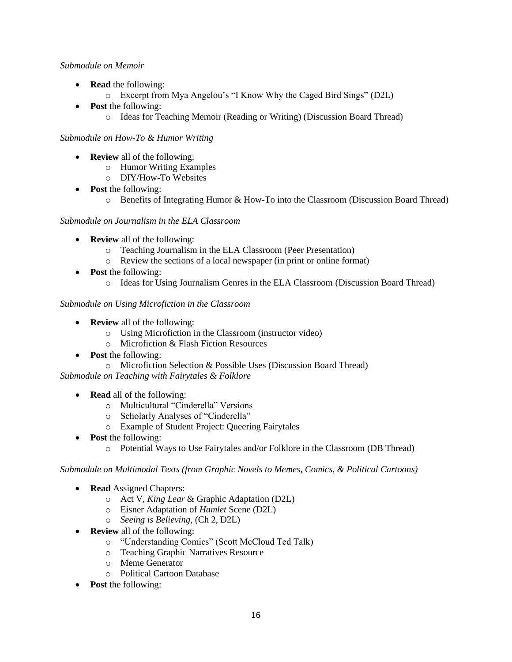#### *Submodule on Memoir*

- **Read** the following:
	- o Excerpt from Mya Angelou's "I Know Why the Caged Bird Sings" (D2L)
- **Post** the following:
	- o Ideas for Teaching Memoir (Reading or Writing) (Discussion Board Thread)

# *Submodule on How-To & Humor Writing*

- **Review** all of the following:
	- o Humor Writing Examples
	- o DIY/How-To Websites
- **Post** the following:
	- o Benefits of Integrating Humor & How-To into the Classroom (Discussion Board Thread)

# *Submodule on Journalism in the ELA Classroom*

- **Review** all of the following:
	- o Teaching Journalism in the ELA Classroom (Peer Presentation)
	- o Review the sections of a local newspaper (in print or online format)
- **Post** the following:
	- o Ideas for Using Journalism Genres in the ELA Classroom (Discussion Board Thread)

# *Submodule on Using Microfiction in the Classroom*

- **Review** all of the following:
	- o Using Microfiction in the Classroom (instructor video)
	- o Microfiction & Flash Fiction Resources
- **Post** the following:
	- o Microfiction Selection & Possible Uses (Discussion Board Thread)

*Submodule on Teaching with Fairytales & Folklore*

- **Read** all of the following:
	- o Multicultural "Cinderella" Versions
	- o Scholarly Analyses of "Cinderella"
	- o Example of Student Project: Queering Fairytales
- **Post** the following:
	- o Potential Ways to Use Fairytales and/or Folklore in the Classroom (DB Thread)

*Submodule on Multimodal Texts (from Graphic Novels to Memes, Comics, & Political Cartoons)*

- **Read** Assigned Chapters:
	- o Act V, *King Lear* & Graphic Adaptation (D2L)
	- o Eisner Adaptation of *Hamlet* Scene (D2L)
	- o *Seeing is Believing*, (Ch 2, D2L)
- **Review** all of the following:
	- o "Understanding Comics" (Scott McCloud Ted Talk)
	- o Teaching Graphic Narratives Resource
	- o Meme Generator
	- o Political Cartoon Database
- **Post** the following: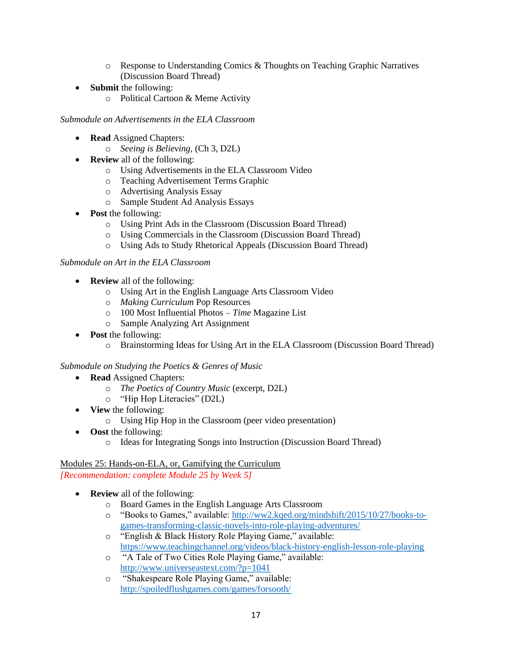- o Response to Understanding Comics & Thoughts on Teaching Graphic Narratives (Discussion Board Thread)
- **Submit** the following:
	- o Political Cartoon & Meme Activity

#### *Submodule on Advertisements in the ELA Classroom*

- **Read** Assigned Chapters:
	- o *Seeing is Believing,* (Ch 3, D2L)
- **Review** all of the following:
	- o Using Advertisements in the ELA Classroom Video
	- o Teaching Advertisement Terms Graphic
	- o Advertising Analysis Essay
	- o Sample Student Ad Analysis Essays
- **Post** the following:
	- o Using Print Ads in the Classroom (Discussion Board Thread)
	- o Using Commercials in the Classroom (Discussion Board Thread)
	- o Using Ads to Study Rhetorical Appeals (Discussion Board Thread)

#### *Submodule on Art in the ELA Classroom*

- **Review** all of the following:
	- o Using Art in the English Language Arts Classroom Video
	- o *Making Curriculum* Pop Resources
	- o 100 Most Influential Photos *Time* Magazine List
	- o Sample Analyzing Art Assignment
- **Post** the following:
	- o Brainstorming Ideas for Using Art in the ELA Classroom (Discussion Board Thread)

#### *Submodule on Studying the Poetics & Genres of Music*

- **Read** Assigned Chapters:
	- o *The Poetics of Country Music* (excerpt, D2L)
	- o "Hip Hop Literacies" (D2L)
- **View** the following:
	- o Using Hip Hop in the Classroom (peer video presentation)
- **Oost** the following:
	- o Ideas for Integrating Songs into Instruction (Discussion Board Thread)

#### Modules 25: Hands-on-ELA, or, Gamifying the Curriculum *[Recommendation: complete Module 25 by Week 5]*

- **Review** all of the following:
	- o Board Games in the English Language Arts Classroom
	- o "Books to Games," available: [http://ww2.kqed.org/mindshift/2015/10/27/books-to](http://ww2.kqed.org/mindshift/2015/10/27/books-to-games-transforming-classic-novels-into-role-playing-adventures/)[games-transforming-classic-novels-into-role-playing-adventures/](http://ww2.kqed.org/mindshift/2015/10/27/books-to-games-transforming-classic-novels-into-role-playing-adventures/)
	- o "English & Black History Role Playing Game," available: <https://www.teachingchannel.org/videos/black-history-english-lesson-role-playing>
	- o "A Tale of Two Cities Role Playing Game," available: <http://www.universeastext.com/?p=1041>
	- o "Shakespeare Role Playing Game," available: <http://spoiledflushgames.com/games/forsooth/>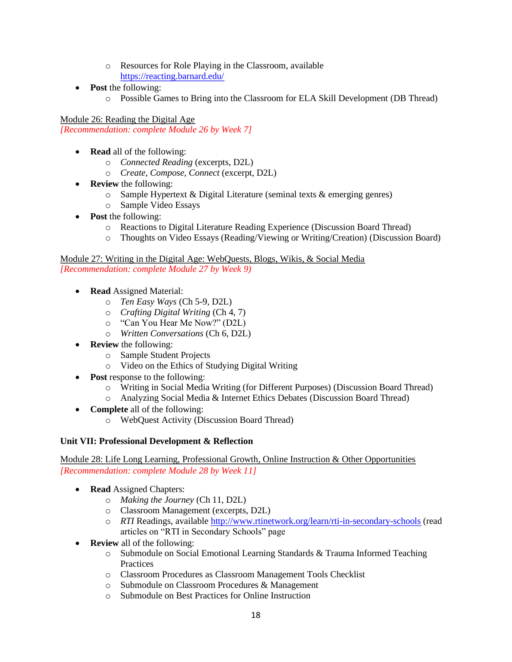- o Resources for Role Playing in the Classroom, available <https://reacting.barnard.edu/>
- **Post** the following:
	- o Possible Games to Bring into the Classroom for ELA Skill Development (DB Thread)

Module 26: Reading the Digital Age *[Recommendation: complete Module 26 by Week 7]*

- **Read** all of the following:
	- o *Connected Reading* (excerpts, D2L)
	- o *Create, Compose, Connect* (excerpt, D2L)
- **Review** the following:
	- o Sample Hypertext & Digital Literature (seminal texts & emerging genres)
	- o Sample Video Essays
- **Post** the following:
	- o Reactions to Digital Literature Reading Experience (Discussion Board Thread)
	- o Thoughts on Video Essays (Reading/Viewing or Writing/Creation) (Discussion Board)

Module 27: Writing in the Digital Age: WebQuests, Blogs, Wikis, & Social Media *[Recommendation: complete Module 27 by Week 9)*

- **Read** Assigned Material:
	- o *Ten Easy Ways* (Ch 5-9, D2L)
	- o *Crafting Digital Writing* (Ch 4, 7)
	- o "Can You Hear Me Now?" (D2L)
	- o *Written Conversations* (Ch 6, D2L)
- **Review** the following:
	- o Sample Student Projects
	- o Video on the Ethics of Studying Digital Writing
- **Post response to the following:** 
	- o Writing in Social Media Writing (for Different Purposes) (Discussion Board Thread)
	- o Analyzing Social Media & Internet Ethics Debates (Discussion Board Thread)
- **Complete** all of the following:
	- o WebQuest Activity (Discussion Board Thread)

#### **Unit VII: Professional Development & Reflection**

Module 28: Life Long Learning, Professional Growth, Online Instruction & Other Opportunities *[Recommendation: complete Module 28 by Week 11]*

- **Read** Assigned Chapters:
	- o *Making the Journey* (Ch 11, D2L)
	- o Classroom Management (excerpts, D2L)
	- o *RTI* Readings, available<http://www.rtinetwork.org/learn/rti-in-secondary-schools> (read articles on "RTI in Secondary Schools" page
- **Review** all of the following:
	- o Submodule on Social Emotional Learning Standards & Trauma Informed Teaching **Practices**
	- o Classroom Procedures as Classroom Management Tools Checklist
	- o Submodule on Classroom Procedures & Management
	- o Submodule on Best Practices for Online Instruction